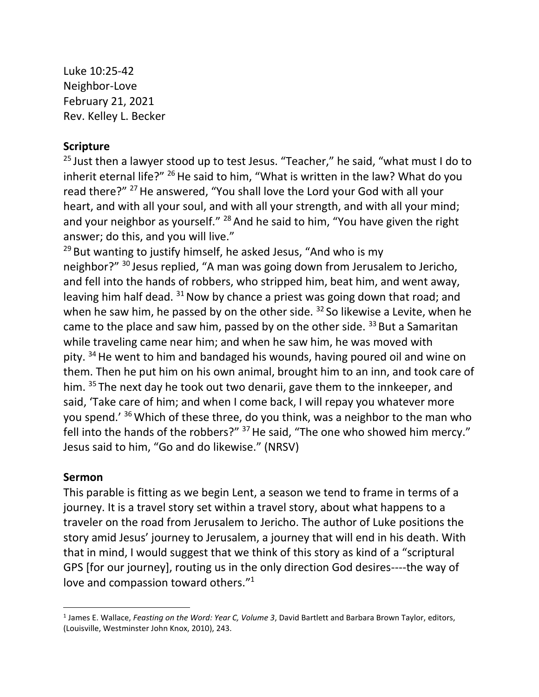Luke 10:25-42 Neighbor-Love February 21, 2021 Rev. Kelley L. Becker

## **Scripture**

<sup>25</sup> Just then a lawyer stood up to test Jesus. "Teacher," he said, "what must I do to inherit eternal life?"  $^{26}$  He said to him, "What is written in the law? What do you read there?" <sup>27</sup> He answered, "You shall love the Lord your God with all your heart, and with all your soul, and with all your strength, and with all your mind; and your neighbor as yourself." <sup>28</sup> And he said to him, "You have given the right answer; do this, and you will live."

 $29$  But wanting to justify himself, he asked Jesus, "And who is my neighbor?" <sup>30</sup> Jesus replied, "A man was going down from Jerusalem to Jericho, and fell into the hands of robbers, who stripped him, beat him, and went away, leaving him half dead.  $31$  Now by chance a priest was going down that road; and when he saw him, he passed by on the other side.  $32$  So likewise a Levite, when he came to the place and saw him, passed by on the other side. <sup>33</sup> But a Samaritan while traveling came near him; and when he saw him, he was moved with pity. <sup>34</sup> He went to him and bandaged his wounds, having poured oil and wine on them. Then he put him on his own animal, brought him to an inn, and took care of him. <sup>35</sup> The next day he took out two denarii, gave them to the innkeeper, and said, 'Take care of him; and when I come back, I will repay you whatever more you spend.' <sup>36</sup> Which of these three, do you think, was a neighbor to the man who fell into the hands of the robbers?"  $37$  He said, "The one who showed him mercy." Jesus said to him, "Go and do likewise." (NRSV)

## **Sermon**

This parable is fitting as we begin Lent, a season we tend to frame in terms of a journey. It is a travel story set within a travel story, about what happens to a traveler on the road from Jerusalem to Jericho. The author of Luke positions the story amid Jesus' journey to Jerusalem, a journey that will end in his death. With that in mind, I would suggest that we think of this story as kind of a "scriptural GPS [for our journey], routing us in the only direction God desires----the way of love and compassion toward others."<sup>1</sup>

<sup>1</sup> James E. Wallace, *Feasting on the Word: Year C, Volume 3*, David Bartlett and Barbara Brown Taylor, editors, (Louisville, Westminster John Knox, 2010), 243.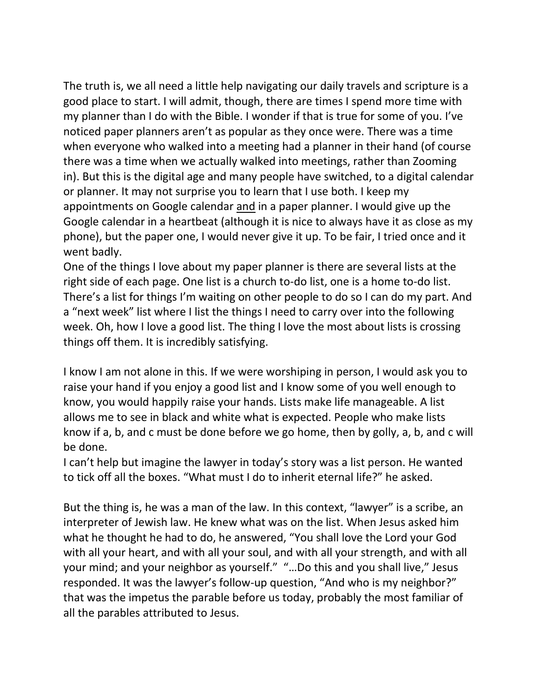The truth is, we all need a little help navigating our daily travels and scripture is a good place to start. I will admit, though, there are times I spend more time with my planner than I do with the Bible. I wonder if that is true for some of you. I've noticed paper planners aren't as popular as they once were. There was a time when everyone who walked into a meeting had a planner in their hand (of course there was a time when we actually walked into meetings, rather than Zooming in). But this is the digital age and many people have switched, to a digital calendar or planner. It may not surprise you to learn that I use both. I keep my appointments on Google calendar and in a paper planner. I would give up the Google calendar in a heartbeat (although it is nice to always have it as close as my phone), but the paper one, I would never give it up. To be fair, I tried once and it went badly.

One of the things I love about my paper planner is there are several lists at the right side of each page. One list is a church to-do list, one is a home to-do list. There's a list for things I'm waiting on other people to do so I can do my part. And a "next week" list where I list the things I need to carry over into the following week. Oh, how I love a good list. The thing I love the most about lists is crossing things off them. It is incredibly satisfying.

I know I am not alone in this. If we were worshiping in person, I would ask you to raise your hand if you enjoy a good list and I know some of you well enough to know, you would happily raise your hands. Lists make life manageable. A list allows me to see in black and white what is expected. People who make lists know if a, b, and c must be done before we go home, then by golly, a, b, and c will be done.

I can't help but imagine the lawyer in today's story was a list person. He wanted to tick off all the boxes. "What must I do to inherit eternal life?" he asked.

But the thing is, he was a man of the law. In this context, "lawyer" is a scribe, an interpreter of Jewish law. He knew what was on the list. When Jesus asked him what he thought he had to do, he answered, "You shall love the Lord your God with all your heart, and with all your soul, and with all your strength, and with all your mind; and your neighbor as yourself." "…Do this and you shall live," Jesus responded. It was the lawyer's follow-up question, "And who is my neighbor?" that was the impetus the parable before us today, probably the most familiar of all the parables attributed to Jesus.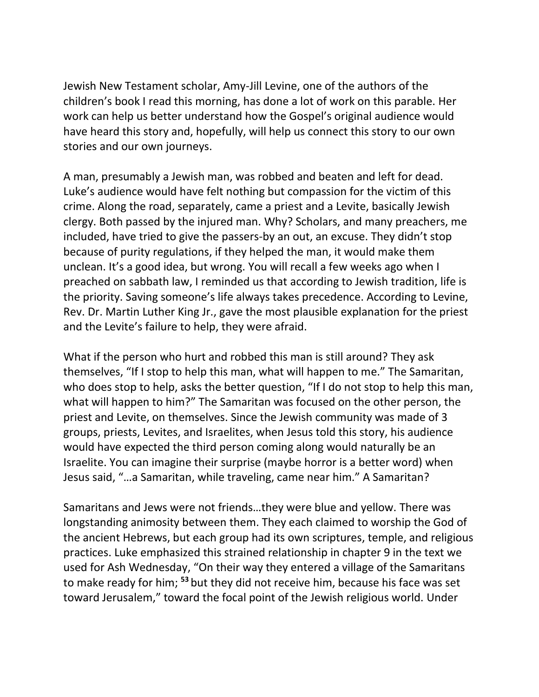Jewish New Testament scholar, Amy-Jill Levine, one of the authors of the children's book I read this morning, has done a lot of work on this parable. Her work can help us better understand how the Gospel's original audience would have heard this story and, hopefully, will help us connect this story to our own stories and our own journeys.

A man, presumably a Jewish man, was robbed and beaten and left for dead. Luke's audience would have felt nothing but compassion for the victim of this crime. Along the road, separately, came a priest and a Levite, basically Jewish clergy. Both passed by the injured man. Why? Scholars, and many preachers, me included, have tried to give the passers-by an out, an excuse. They didn't stop because of purity regulations, if they helped the man, it would make them unclean. It's a good idea, but wrong. You will recall a few weeks ago when I preached on sabbath law, I reminded us that according to Jewish tradition, life is the priority. Saving someone's life always takes precedence. According to Levine, Rev. Dr. Martin Luther King Jr., gave the most plausible explanation for the priest and the Levite's failure to help, they were afraid.

What if the person who hurt and robbed this man is still around? They ask themselves, "If I stop to help this man, what will happen to me." The Samaritan, who does stop to help, asks the better question, "If I do not stop to help this man, what will happen to him?" The Samaritan was focused on the other person, the priest and Levite, on themselves. Since the Jewish community was made of 3 groups, priests, Levites, and Israelites, when Jesus told this story, his audience would have expected the third person coming along would naturally be an Israelite. You can imagine their surprise (maybe horror is a better word) when Jesus said, "…a Samaritan, while traveling, came near him." A Samaritan?

Samaritans and Jews were not friends…they were blue and yellow. There was longstanding animosity between them. They each claimed to worship the God of the ancient Hebrews, but each group had its own scriptures, temple, and religious practices. Luke emphasized this strained relationship in chapter 9 in the text we used for Ash Wednesday, "On their way they entered a village of the Samaritans to make ready for him; **<sup>53</sup>** but they did not receive him, because his face was set toward Jerusalem," toward the focal point of the Jewish religious world. Under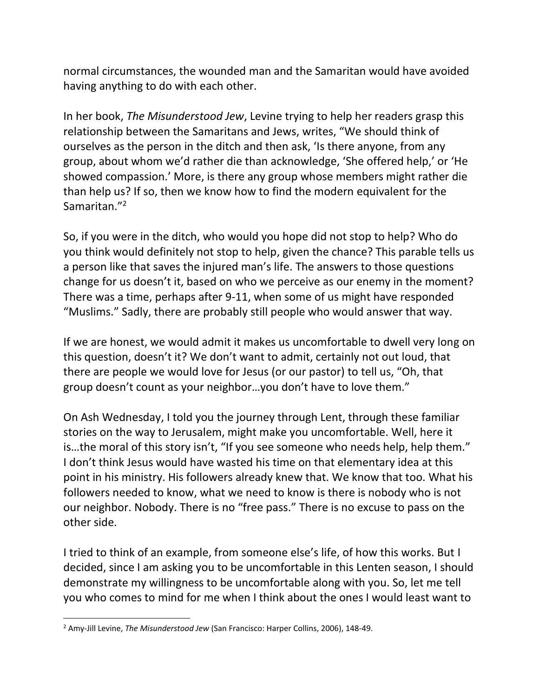normal circumstances, the wounded man and the Samaritan would have avoided having anything to do with each other.

In her book, *The Misunderstood Jew*, Levine trying to help her readers grasp this relationship between the Samaritans and Jews, writes, "We should think of ourselves as the person in the ditch and then ask, 'Is there anyone, from any group, about whom we'd rather die than acknowledge, 'She offered help,' or 'He showed compassion.' More, is there any group whose members might rather die than help us? If so, then we know how to find the modern equivalent for the Samaritan.<sup>"2</sup>

So, if you were in the ditch, who would you hope did not stop to help? Who do you think would definitely not stop to help, given the chance? This parable tells us a person like that saves the injured man's life. The answers to those questions change for us doesn't it, based on who we perceive as our enemy in the moment? There was a time, perhaps after 9-11, when some of us might have responded "Muslims." Sadly, there are probably still people who would answer that way.

If we are honest, we would admit it makes us uncomfortable to dwell very long on this question, doesn't it? We don't want to admit, certainly not out loud, that there are people we would love for Jesus (or our pastor) to tell us, "Oh, that group doesn't count as your neighbor…you don't have to love them."

On Ash Wednesday, I told you the journey through Lent, through these familiar stories on the way to Jerusalem, might make you uncomfortable. Well, here it is…the moral of this story isn't, "If you see someone who needs help, help them." I don't think Jesus would have wasted his time on that elementary idea at this point in his ministry. His followers already knew that. We know that too. What his followers needed to know, what we need to know is there is nobody who is not our neighbor. Nobody. There is no "free pass." There is no excuse to pass on the other side.

I tried to think of an example, from someone else's life, of how this works. But I decided, since I am asking you to be uncomfortable in this Lenten season, I should demonstrate my willingness to be uncomfortable along with you. So, let me tell you who comes to mind for me when I think about the ones I would least want to

<sup>2</sup> Amy-Jill Levine, *The Misunderstood Jew* (San Francisco: Harper Collins, 2006), 148-49.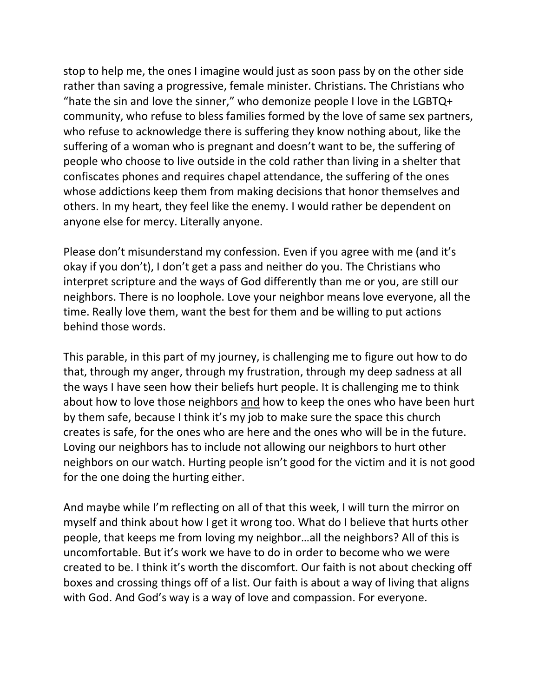stop to help me, the ones I imagine would just as soon pass by on the other side rather than saving a progressive, female minister. Christians. The Christians who "hate the sin and love the sinner," who demonize people I love in the LGBTQ+ community, who refuse to bless families formed by the love of same sex partners, who refuse to acknowledge there is suffering they know nothing about, like the suffering of a woman who is pregnant and doesn't want to be, the suffering of people who choose to live outside in the cold rather than living in a shelter that confiscates phones and requires chapel attendance, the suffering of the ones whose addictions keep them from making decisions that honor themselves and others. In my heart, they feel like the enemy. I would rather be dependent on anyone else for mercy. Literally anyone.

Please don't misunderstand my confession. Even if you agree with me (and it's okay if you don't), I don't get a pass and neither do you. The Christians who interpret scripture and the ways of God differently than me or you, are still our neighbors. There is no loophole. Love your neighbor means love everyone, all the time. Really love them, want the best for them and be willing to put actions behind those words.

This parable, in this part of my journey, is challenging me to figure out how to do that, through my anger, through my frustration, through my deep sadness at all the ways I have seen how their beliefs hurt people. It is challenging me to think about how to love those neighbors and how to keep the ones who have been hurt by them safe, because I think it's my job to make sure the space this church creates is safe, for the ones who are here and the ones who will be in the future. Loving our neighbors has to include not allowing our neighbors to hurt other neighbors on our watch. Hurting people isn't good for the victim and it is not good for the one doing the hurting either.

And maybe while I'm reflecting on all of that this week, I will turn the mirror on myself and think about how I get it wrong too. What do I believe that hurts other people, that keeps me from loving my neighbor…all the neighbors? All of this is uncomfortable. But it's work we have to do in order to become who we were created to be. I think it's worth the discomfort. Our faith is not about checking off boxes and crossing things off of a list. Our faith is about a way of living that aligns with God. And God's way is a way of love and compassion. For everyone.